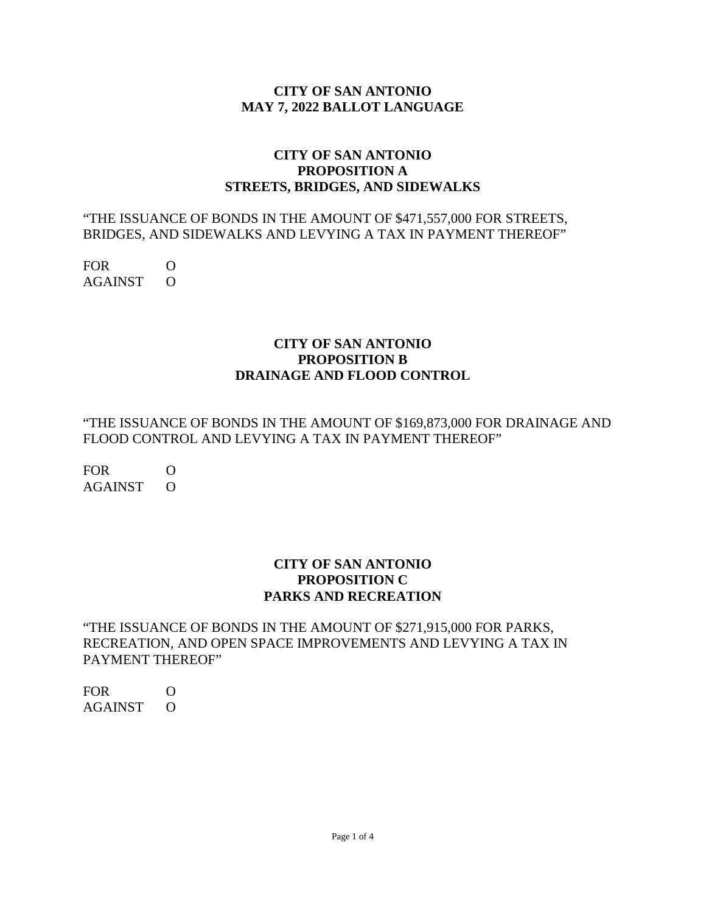### **CITY OF SAN ANTONIO MAY 7, 2022 BALLOT LANGUAGE**

# **CITY OF SAN ANTONIO PROPOSITION A STREETS, BRIDGES, AND SIDEWALKS**

### "THE ISSUANCE OF BONDS IN THE AMOUNT OF \$471,557,000 FOR STREETS, BRIDGES, AND SIDEWALKS AND LEVYING A TAX IN PAYMENT THEREOF"

FOR O AGAINST O

## **CITY OF SAN ANTONIO PROPOSITION B DRAINAGE AND FLOOD CONTROL**

"THE ISSUANCE OF BONDS IN THE AMOUNT OF \$169,873,000 FOR DRAINAGE AND FLOOD CONTROL AND LEVYING A TAX IN PAYMENT THEREOF"

FOR O AGAINST O

## **CITY OF SAN ANTONIO PROPOSITION C PARKS AND RECREATION**

"THE ISSUANCE OF BONDS IN THE AMOUNT OF \$271,915,000 FOR PARKS, RECREATION, AND OPEN SPACE IMPROVEMENTS AND LEVYING A TAX IN PAYMENT THEREOF"

FOR O AGAINST O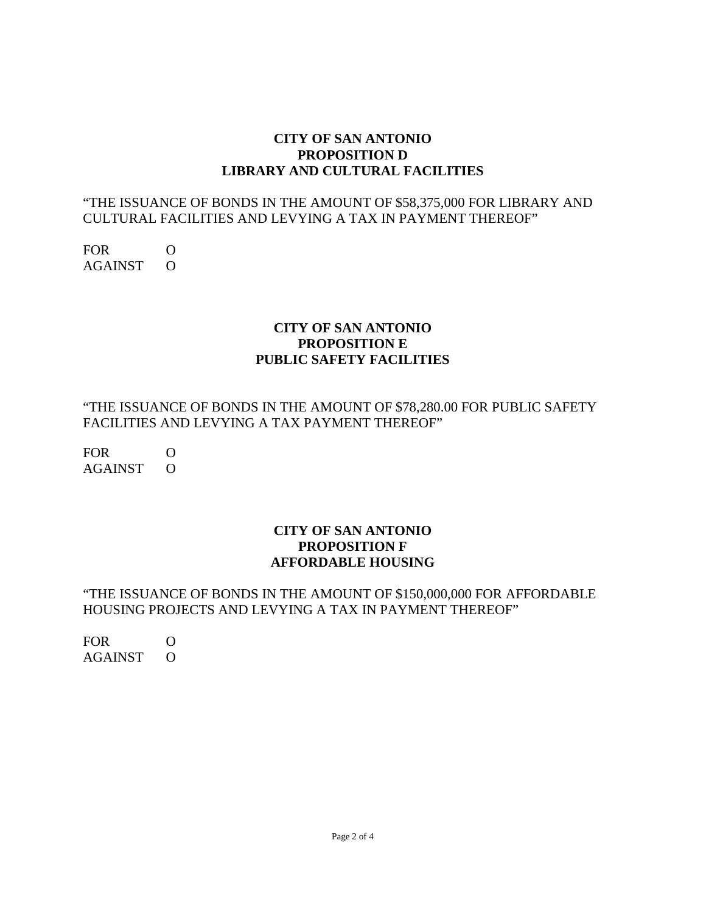### **CITY OF SAN ANTONIO PROPOSITION D LIBRARY AND CULTURAL FACILITIES**

## "THE ISSUANCE OF BONDS IN THE AMOUNT OF \$58,375,000 FOR LIBRARY AND CULTURAL FACILITIES AND LEVYING A TAX IN PAYMENT THEREOF"

FOR O AGAINST O

# **CITY OF SAN ANTONIO PROPOSITION E PUBLIC SAFETY FACILITIES**

"THE ISSUANCE OF BONDS IN THE AMOUNT OF \$78,280.00 FOR PUBLIC SAFETY FACILITIES AND LEVYING A TAX PAYMENT THEREOF"

FOR O AGAINST O

## **CITY OF SAN ANTONIO PROPOSITION F AFFORDABLE HOUSING**

## "THE ISSUANCE OF BONDS IN THE AMOUNT OF \$150,000,000 FOR AFFORDABLE HOUSING PROJECTS AND LEVYING A TAX IN PAYMENT THEREOF"

FOR O AGAINST O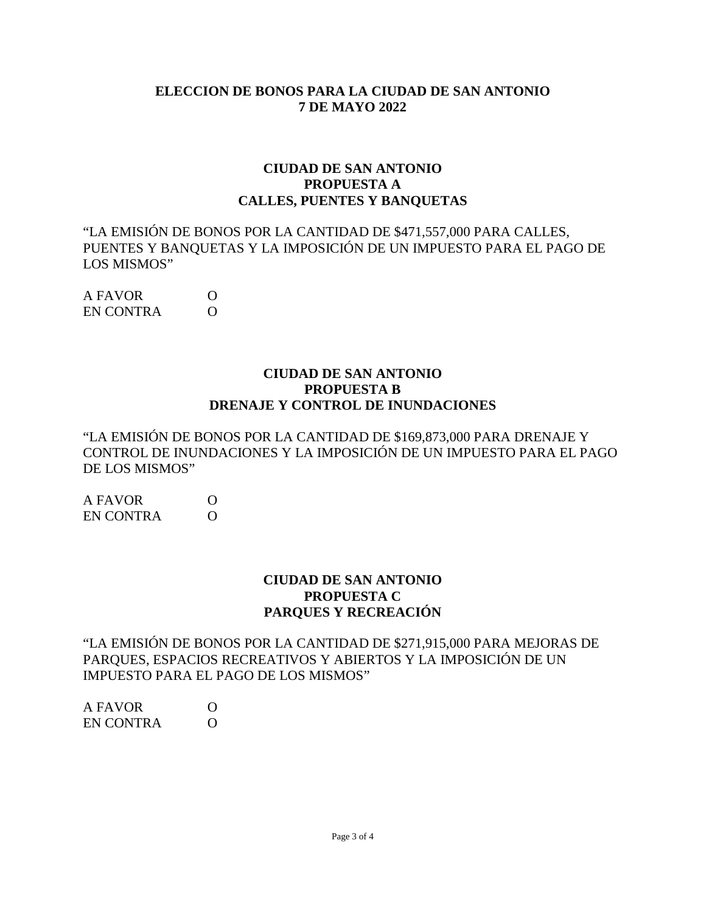### **ELECCION DE BONOS PARA LA CIUDAD DE SAN ANTONIO 7 DE MAYO 2022**

#### **CIUDAD DE SAN ANTONIO PROPUESTA A CALLES, PUENTES Y BANQUETAS**

"LA EMISIÓN DE BONOS POR LA CANTIDAD DE \$471,557,000 PARA CALLES, PUENTES Y BANQUETAS Y LA IMPOSICIÓN DE UN IMPUESTO PARA EL PAGO DE LOS MISMOS"

A FAVOR O EN CONTRA O

#### **CIUDAD DE SAN ANTONIO PROPUESTA B DRENAJE Y CONTROL DE INUNDACIONES**

"LA EMISIÓN DE BONOS POR LA CANTIDAD DE \$169,873,000 PARA DRENAJE Y CONTROL DE INUNDACIONES Y LA IMPOSICIÓN DE UN IMPUESTO PARA EL PAGO DE LOS MISMOS"

| A FAVOR          | $\Omega$ |
|------------------|----------|
| <b>EN CONTRA</b> | $\Omega$ |

### **CIUDAD DE SAN ANTONIO PROPUESTA C PARQUES Y RECREACIÓN**

"LA EMISIÓN DE BONOS POR LA CANTIDAD DE \$271,915,000 PARA MEJORAS DE PARQUES, ESPACIOS RECREATIVOS Y ABIERTOS Y LA IMPOSICIÓN DE UN IMPUESTO PARA EL PAGO DE LOS MISMOS"

A FAVOR O EN CONTRA O